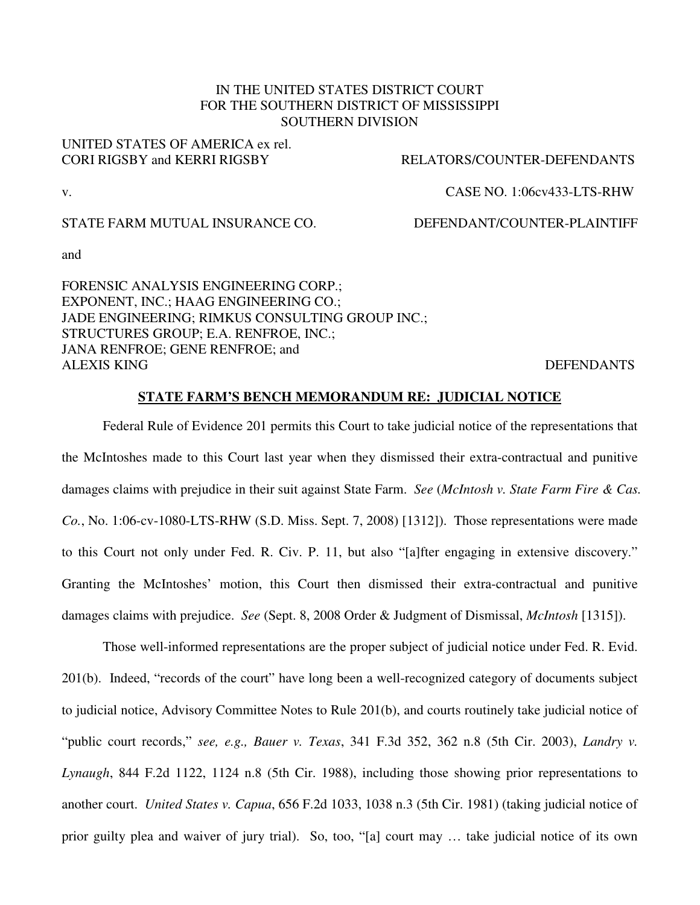# IN THE UNITED STATES DISTRICT COURT FOR THE SOUTHERN DISTRICT OF MISSISSIPPI SOUTHERN DIVISION

#### UNITED STATES OF AMERICA ex rel. CORI RIGSBY and KERRI RIGSBY RELATORS/COUNTER-DEFENDANTS

#### v. CASE NO. 1:06cv433-LTS-RHW

## STATE FARM MUTUAL INSURANCE CO. DEFENDANT/COUNTER-PLAINTIFF

and

FORENSIC ANALYSIS ENGINEERING CORP.; EXPONENT, INC.; HAAG ENGINEERING CO.; JADE ENGINEERING; RIMKUS CONSULTING GROUP INC.; STRUCTURES GROUP; E.A. RENFROE, INC.; JANA RENFROE; GENE RENFROE; and ALEXIS KING DEFENDANTS

# **STATE FARM'S BENCH MEMORANDUM RE: JUDICIAL NOTICE**

 Federal Rule of Evidence 201 permits this Court to take judicial notice of the representations that the McIntoshes made to this Court last year when they dismissed their extra-contractual and punitive damages claims with prejudice in their suit against State Farm. *See* (*McIntosh v. State Farm Fire & Cas. Co.*, No. 1:06-cv-1080-LTS-RHW (S.D. Miss. Sept. 7, 2008) [1312]). Those representations were made to this Court not only under Fed. R. Civ. P. 11, but also "[a]fter engaging in extensive discovery." Granting the McIntoshes' motion, this Court then dismissed their extra-contractual and punitive damages claims with prejudice. *See* (Sept. 8, 2008 Order & Judgment of Dismissal, *McIntosh* [1315]).

 Those well-informed representations are the proper subject of judicial notice under Fed. R. Evid. 201(b). Indeed, "records of the court" have long been a well-recognized category of documents subject to judicial notice, Advisory Committee Notes to Rule 201(b), and courts routinely take judicial notice of "public court records," *see, e.g., Bauer v. Texas*, 341 F.3d 352, 362 n.8 (5th Cir. 2003), *Landry v. Lynaugh*, 844 F.2d 1122, 1124 n.8 (5th Cir. 1988), including those showing prior representations to another court. *United States v. Capua*, 656 F.2d 1033, 1038 n.3 (5th Cir. 1981) (taking judicial notice of prior guilty plea and waiver of jury trial). So, too, "[a] court may … take judicial notice of its own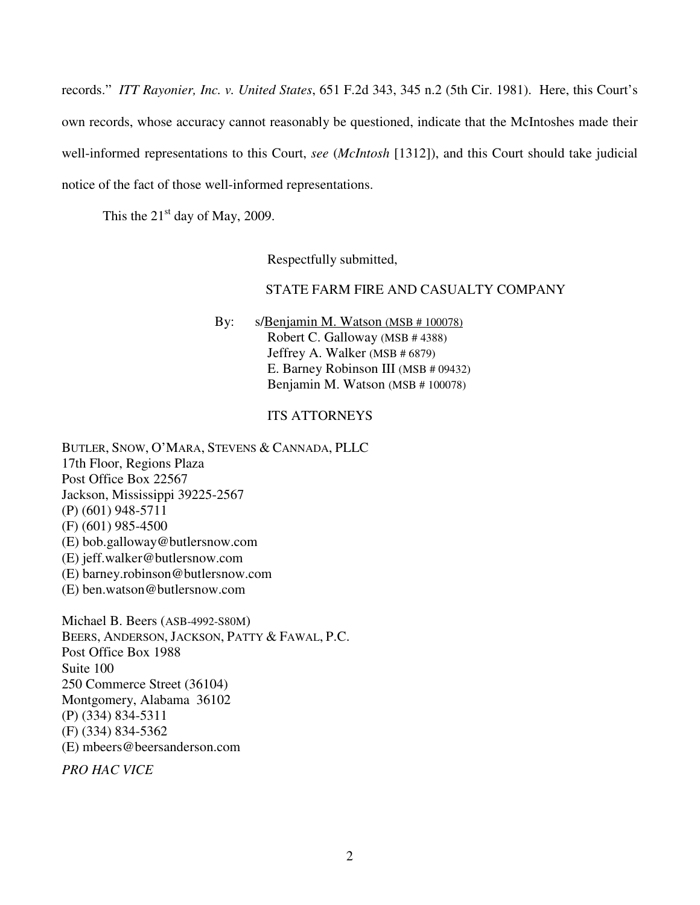records." *ITT Rayonier, Inc. v. United States*, 651 F.2d 343, 345 n.2 (5th Cir. 1981). Here, this Court's own records, whose accuracy cannot reasonably be questioned, indicate that the McIntoshes made their well-informed representations to this Court, *see* (*McIntosh* [1312]), and this Court should take judicial notice of the fact of those well-informed representations.

This the  $21<sup>st</sup>$  day of May, 2009.

Respectfully submitted,

## STATE FARM FIRE AND CASUALTY COMPANY

By: s/Benjamin M. Watson (MSB # 100078) Robert C. Galloway (MSB # 4388) Jeffrey A. Walker (MSB # 6879) E. Barney Robinson III (MSB # 09432) Benjamin M. Watson (MSB # 100078)

#### ITS ATTORNEYS

BUTLER, SNOW, O'MARA, STEVENS & CANNADA, PLLC 17th Floor, Regions Plaza Post Office Box 22567 Jackson, Mississippi 39225-2567 (P) (601) 948-5711 (F) (601) 985-4500 (E) bob.galloway@butlersnow.com (E) jeff.walker@butlersnow.com (E) barney.robinson@butlersnow.com (E) ben.watson@butlersnow.com

Michael B. Beers (ASB-4992-S80M) BEERS, ANDERSON, JACKSON, PATTY & FAWAL, P.C. Post Office Box 1988 Suite 100 250 Commerce Street (36104) Montgomery, Alabama 36102 (P) (334) 834-5311 (F) (334) 834-5362 (E) mbeers@beersanderson.com

*PRO HAC VICE*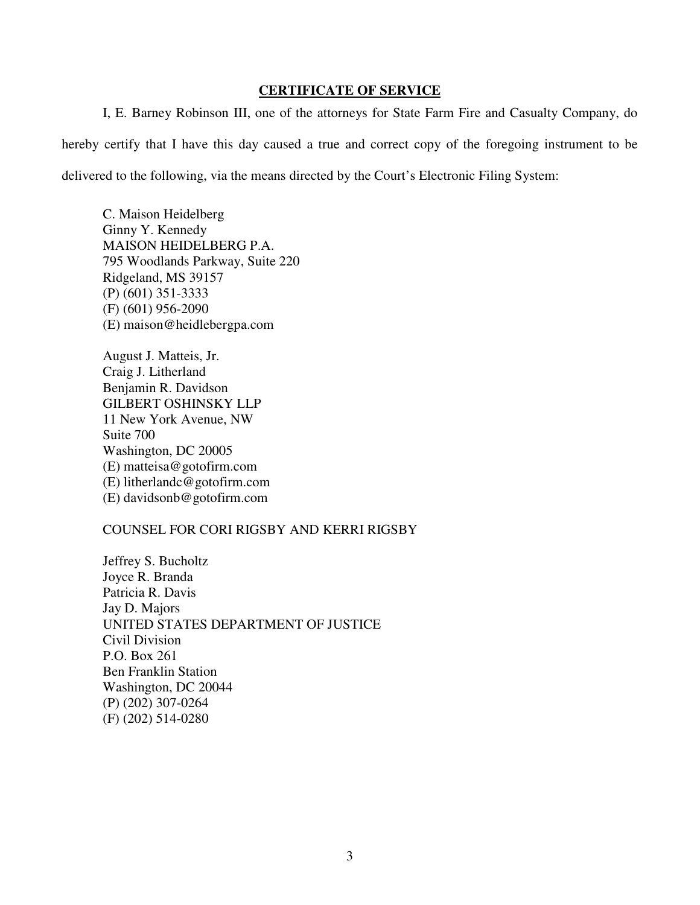## **CERTIFICATE OF SERVICE**

I, E. Barney Robinson III, one of the attorneys for State Farm Fire and Casualty Company, do hereby certify that I have this day caused a true and correct copy of the foregoing instrument to be delivered to the following, via the means directed by the Court's Electronic Filing System:

C. Maison Heidelberg Ginny Y. Kennedy MAISON HEIDELBERG P.A. 795 Woodlands Parkway, Suite 220 Ridgeland, MS 39157 (P) (601) 351-3333 (F) (601) 956-2090 (E) maison@heidlebergpa.com

August J. Matteis, Jr. Craig J. Litherland Benjamin R. Davidson GILBERT OSHINSKY LLP 11 New York Avenue, NW Suite 700 Washington, DC 20005 (E) matteisa@gotofirm.com (E) litherlandc@gotofirm.com (E) davidsonb@gotofirm.com

## COUNSEL FOR CORI RIGSBY AND KERRI RIGSBY

Jeffrey S. Bucholtz Joyce R. Branda Patricia R. Davis Jay D. Majors UNITED STATES DEPARTMENT OF JUSTICE Civil Division P.O. Box 261 Ben Franklin Station Washington, DC 20044 (P) (202) 307-0264 (F) (202) 514-0280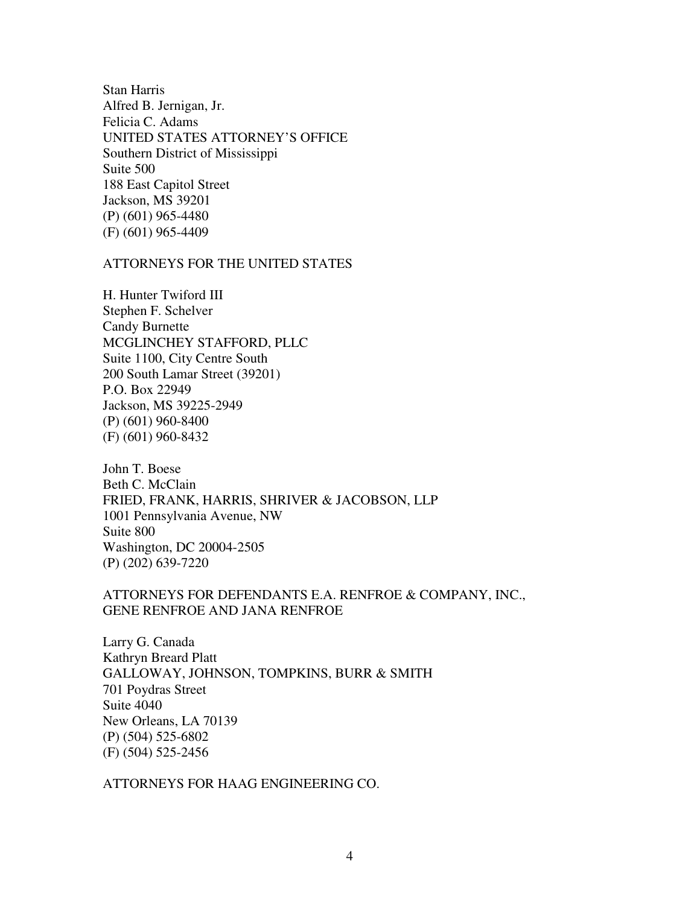Stan Harris Alfred B. Jernigan, Jr. Felicia C. Adams UNITED STATES ATTORNEY'S OFFICE Southern District of Mississippi Suite 500 188 East Capitol Street Jackson, MS 39201 (P) (601) 965-4480 (F) (601) 965-4409

## ATTORNEYS FOR THE UNITED STATES

H. Hunter Twiford III Stephen F. Schelver Candy Burnette MCGLINCHEY STAFFORD, PLLC Suite 1100, City Centre South 200 South Lamar Street (39201) P.O. Box 22949 Jackson, MS 39225-2949 (P) (601) 960-8400 (F) (601) 960-8432

John T. Boese Beth C. McClain FRIED, FRANK, HARRIS, SHRIVER & JACOBSON, LLP 1001 Pennsylvania Avenue, NW Suite 800 Washington, DC 20004-2505 (P) (202) 639-7220

# ATTORNEYS FOR DEFENDANTS E.A. RENFROE & COMPANY, INC., GENE RENFROE AND JANA RENFROE

Larry G. Canada Kathryn Breard Platt GALLOWAY, JOHNSON, TOMPKINS, BURR & SMITH 701 Poydras Street Suite 4040 New Orleans, LA 70139 (P) (504) 525-6802 (F) (504) 525-2456

ATTORNEYS FOR HAAG ENGINEERING CO.